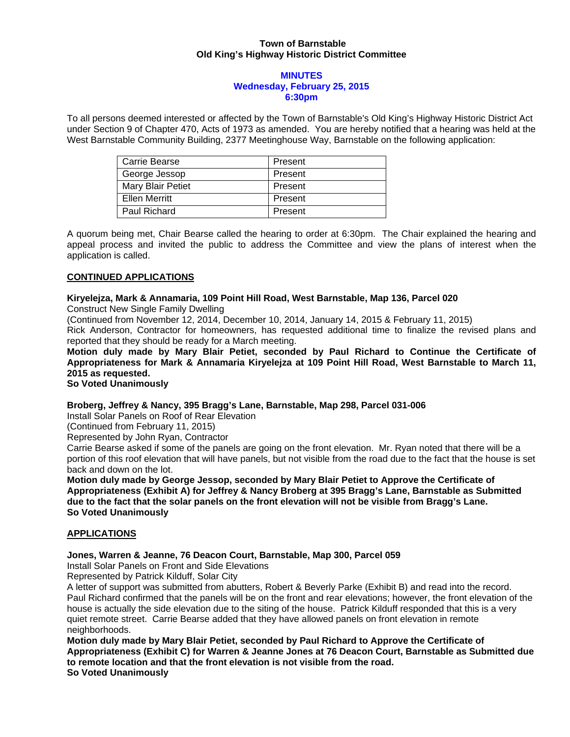## **Town of Barnstable Old King's Highway Historic District Committee**

#### **MINUTES Wednesday, February 25, 2015 6:30pm**

To all persons deemed interested or affected by the Town of Barnstable's Old King's Highway Historic District Act under Section 9 of Chapter 470, Acts of 1973 as amended. You are hereby notified that a hearing was held at the West Barnstable Community Building, 2377 Meetinghouse Way, Barnstable on the following application:

| Carrie Bearse     | Present |
|-------------------|---------|
| George Jessop     | Present |
| Mary Blair Petiet | Present |
| Ellen Merritt     | Present |
| Paul Richard      | Present |

A quorum being met, Chair Bearse called the hearing to order at 6:30pm. The Chair explained the hearing and appeal process and invited the public to address the Committee and view the plans of interest when the application is called.

## **CONTINUED APPLICATIONS**

# **Kiryelejza, Mark & Annamaria, 109 Point Hill Road, West Barnstable, Map 136, Parcel 020**

Construct New Single Family Dwelling

(Continued from November 12, 2014, December 10, 2014, January 14, 2015 & February 11, 2015)

Rick Anderson, Contractor for homeowners, has requested additional time to finalize the revised plans and reported that they should be ready for a March meeting.

## **Motion duly made by Mary Blair Petiet, seconded by Paul Richard to Continue the Certificate of Appropriateness for Mark & Annamaria Kiryelejza at 109 Point Hill Road, West Barnstable to March 11, 2015 as requested.**

# **So Voted Unanimously**

# **Broberg, Jeffrey & Nancy, 395 Bragg's Lane, Barnstable, Map 298, Parcel 031-006**

Install Solar Panels on Roof of Rear Elevation

(Continued from February 11, 2015)

Represented by John Ryan, Contractor

Carrie Bearse asked if some of the panels are going on the front elevation. Mr. Ryan noted that there will be a portion of this roof elevation that will have panels, but not visible from the road due to the fact that the house is set back and down on the lot.

**Motion duly made by George Jessop, seconded by Mary Blair Petiet to Approve the Certificate of Appropriateness (Exhibit A) for Jeffrey & Nancy Broberg at 395 Bragg's Lane, Barnstable as Submitted due to the fact that the solar panels on the front elevation will not be visible from Bragg's Lane. So Voted Unanimously**

# **APPLICATIONS**

# **Jones, Warren & Jeanne, 76 Deacon Court, Barnstable, Map 300, Parcel 059**

Install Solar Panels on Front and Side Elevations

Represented by Patrick Kilduff, Solar City

A letter of support was submitted from abutters, Robert & Beverly Parke (Exhibit B) and read into the record. Paul Richard confirmed that the panels will be on the front and rear elevations; however, the front elevation of the house is actually the side elevation due to the siting of the house. Patrick Kilduff responded that this is a very quiet remote street. Carrie Bearse added that they have allowed panels on front elevation in remote neighborhoods.

**Motion duly made by Mary Blair Petiet, seconded by Paul Richard to Approve the Certificate of Appropriateness (Exhibit C) for Warren & Jeanne Jones at 76 Deacon Court, Barnstable as Submitted due to remote location and that the front elevation is not visible from the road. So Voted Unanimously**